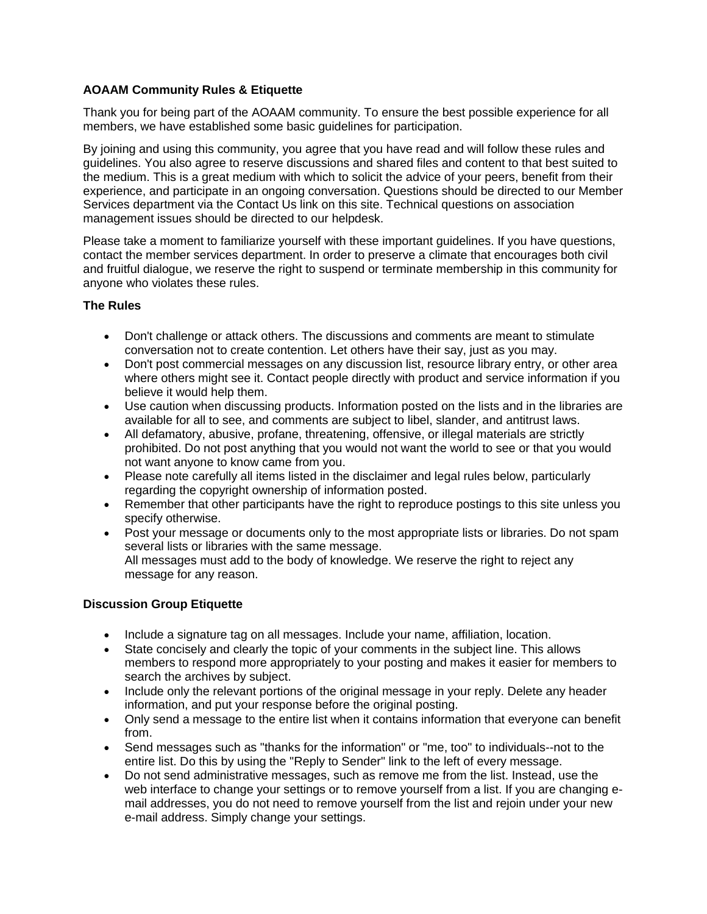## **AOAAM Community Rules & Etiquette**

Thank you for being part of the AOAAM community. To ensure the best possible experience for all members, we have established some basic guidelines for participation.

By joining and using this community, you agree that you have read and will follow these rules and guidelines. You also agree to reserve discussions and shared files and content to that best suited to the medium. This is a great medium with which to solicit the advice of your peers, benefit from their experience, and participate in an ongoing conversation. Questions should be directed to our Member Services department via the Contact Us link on this site. Technical questions on association management issues should be directed to our helpdesk.

Please take a moment to familiarize yourself with these important guidelines. If you have questions, contact the member services department. In order to preserve a climate that encourages both civil and fruitful dialogue, we reserve the right to suspend or terminate membership in this community for anyone who violates these rules.

## **The Rules**

- Don't challenge or attack others. The discussions and comments are meant to stimulate conversation not to create contention. Let others have their say, just as you may.
- Don't post commercial messages on any discussion list, resource library entry, or other area where others might see it. Contact people directly with product and service information if you believe it would help them.
- Use caution when discussing products. Information posted on the lists and in the libraries are available for all to see, and comments are subject to libel, slander, and antitrust laws.
- All defamatory, abusive, profane, threatening, offensive, or illegal materials are strictly prohibited. Do not post anything that you would not want the world to see or that you would not want anyone to know came from you.
- Please note carefully all items listed in the disclaimer and legal rules below, particularly regarding the copyright ownership of information posted.
- Remember that other participants have the right to reproduce postings to this site unless you specify otherwise.
- Post your message or documents only to the most appropriate lists or libraries. Do not spam several lists or libraries with the same message. All messages must add to the body of knowledge. We reserve the right to reject any message for any reason.

## **Discussion Group Etiquette**

- Include a signature tag on all messages. Include your name, affiliation, location.
- State concisely and clearly the topic of your comments in the subject line. This allows members to respond more appropriately to your posting and makes it easier for members to search the archives by subject.
- Include only the relevant portions of the original message in your reply. Delete any header information, and put your response before the original posting.
- Only send a message to the entire list when it contains information that everyone can benefit from.
- Send messages such as "thanks for the information" or "me, too" to individuals--not to the entire list. Do this by using the "Reply to Sender" link to the left of every message.
- Do not send administrative messages, such as remove me from the list. Instead, use the web interface to change your settings or to remove yourself from a list. If you are changing email addresses, you do not need to remove yourself from the list and rejoin under your new e-mail address. Simply change your settings.